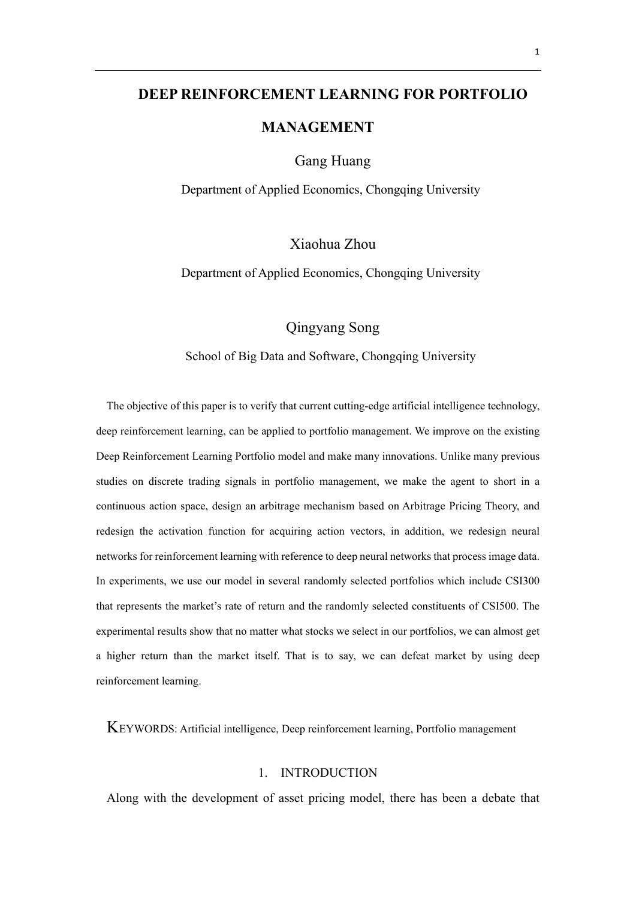# **DEEP REINFORCEMENT LEARNING FOR PORTFOLIO**

# **MANAGEMENT**

Gang Huang

Department of Applied Economics, Chongqing University

Xiaohua Zhou

Department of Applied Economics, Chongqing University

Qingyang Song

School of Big Data and Software, Chongqing University

The objective of this paper is to verify that current cutting-edge artificial intelligence technology, deep reinforcement learning, can be applied to portfolio management. We improve on the existing Deep Reinforcement Learning Portfolio model and make many innovations. Unlike many previous studies on discrete trading signals in portfolio management, we make the agent to short in a continuous action space, design an arbitrage mechanism based on Arbitrage Pricing Theory, and redesign the activation function for acquiring action vectors, in addition, we redesign neural networks for reinforcement learning with reference to deep neural networks that process image data. In experiments, we use our model in several randomly selected portfolios which include CSI300 that represents the market's rate of return and the randomly selected constituents of CSI500. The experimental results show that no matter what stocks we select in our portfolios, we can almost get a higher return than the market itself. That is to say, we can defeat market by using deep reinforcement learning.

KEYWORDS: Artificial intelligence, Deep reinforcement learning, Portfolio management

### 1. INTRODUCTION

Along with the development of asset pricing model, there has been a debate that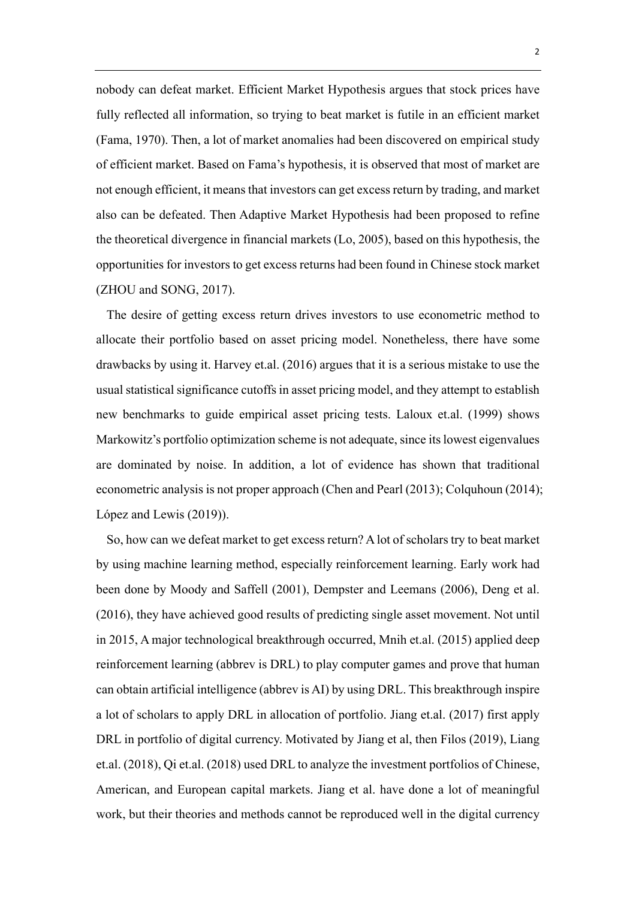nobody can defeat market. Efficient Market Hypothesis argues that stock prices have fully reflected all information, so trying to beat market is futile in an efficient market (Fama, 1970). Then, a lot of market anomalies had been discovered on empirical study of efficient market. Based on Fama's hypothesis, it is observed that most of market are not enough efficient, it means that investors can get excess return by trading, and market also can be defeated. Then Adaptive Market Hypothesis had been proposed to refine the theoretical divergence in financial markets (Lo, 2005), based on this hypothesis, the opportunities for investors to get excess returns had been found in Chinese stock market (ZHOU and SONG, 2017).

The desire of getting excess return drives investors to use econometric method to allocate their portfolio based on asset pricing model. Nonetheless, there have some drawbacks by using it. Harvey et.al. (2016) argues that it is a serious mistake to use the usual statistical significance cutoffs in asset pricing model, and they attempt to establish new benchmarks to guide empirical asset pricing tests. Laloux et.al. (1999) shows Markowitz's portfolio optimization scheme is not adequate, since its lowest eigenvalues are dominated by noise. In addition, a lot of evidence has shown that traditional econometric analysis is not proper approach (Chen and Pearl (2013); Colquhoun (2014); López and Lewis (2019)).

So, how can we defeat market to get excess return? A lot of scholars try to beat market by using machine learning method, especially reinforcement learning. Early work had been done by Moody and Saffell (2001), Dempster and Leemans (2006), Deng et al. (2016), they have achieved good results of predicting single asset movement. Not until in 2015, A major technological breakthrough occurred, Mnih et.al. (2015) applied deep reinforcement learning (abbrev is DRL) to play computer games and prove that human can obtain artificial intelligence (abbrev is AI) by using DRL. This breakthrough inspire a lot of scholars to apply DRL in allocation of portfolio. Jiang et.al. (2017) first apply DRL in portfolio of digital currency. Motivated by Jiang et al, then Filos (2019), Liang et.al. (2018), Qi et.al. (2018) used DRL to analyze the investment portfolios of Chinese, American, and European capital markets. Jiang et al. have done a lot of meaningful work, but their theories and methods cannot be reproduced well in the digital currency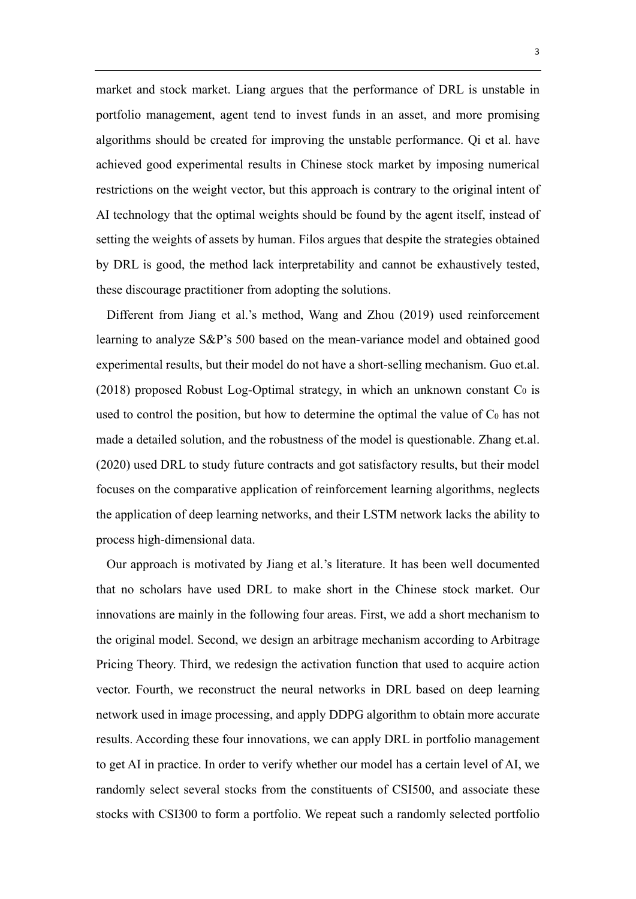market and stock market. Liang argues that the performance of DRL is unstable in portfolio management, agent tend to invest funds in an asset, and more promising algorithms should be created for improving the unstable performance. Qi et al. have achieved good experimental results in Chinese stock market by imposing numerical restrictions on the weight vector, but this approach is contrary to the original intent of AI technology that the optimal weights should be found by the agent itself, instead of setting the weights of assets by human. Filos argues that despite the strategies obtained by DRL is good, the method lack interpretability and cannot be exhaustively tested, these discourage practitioner from adopting the solutions.

Different from Jiang et al.'s method, Wang and Zhou (2019) used reinforcement learning to analyze S&P's 500 based on the mean-variance model and obtained good experimental results, but their model do not have a short-selling mechanism. Guo et.al. (2018) proposed Robust Log-Optimal strategy, in which an unknown constant  $C_0$  is used to control the position, but how to determine the optimal the value of  $C_0$  has not made a detailed solution, and the robustness of the model is questionable. Zhang et.al. (2020) used DRL to study future contracts and got satisfactory results, but their model focuses on the comparative application of reinforcement learning algorithms, neglects the application of deep learning networks, and their LSTM network lacks the ability to process high-dimensional data.

Our approach is motivated by Jiang et al.'s literature. It has been well documented that no scholars have used DRL to make short in the Chinese stock market. Our innovations are mainly in the following four areas. First, we add a short mechanism to the original model. Second, we design an arbitrage mechanism according to Arbitrage Pricing Theory. Third, we redesign the activation function that used to acquire action vector. Fourth, we reconstruct the neural networks in DRL based on deep learning network used in image processing, and apply DDPG algorithm to obtain more accurate results. According these four innovations, we can apply DRL in portfolio management to get AI in practice. In order to verify whether our model has a certain level of AI, we randomly select several stocks from the constituents of CSI500, and associate these stocks with CSI300 to form a portfolio. We repeat such a randomly selected portfolio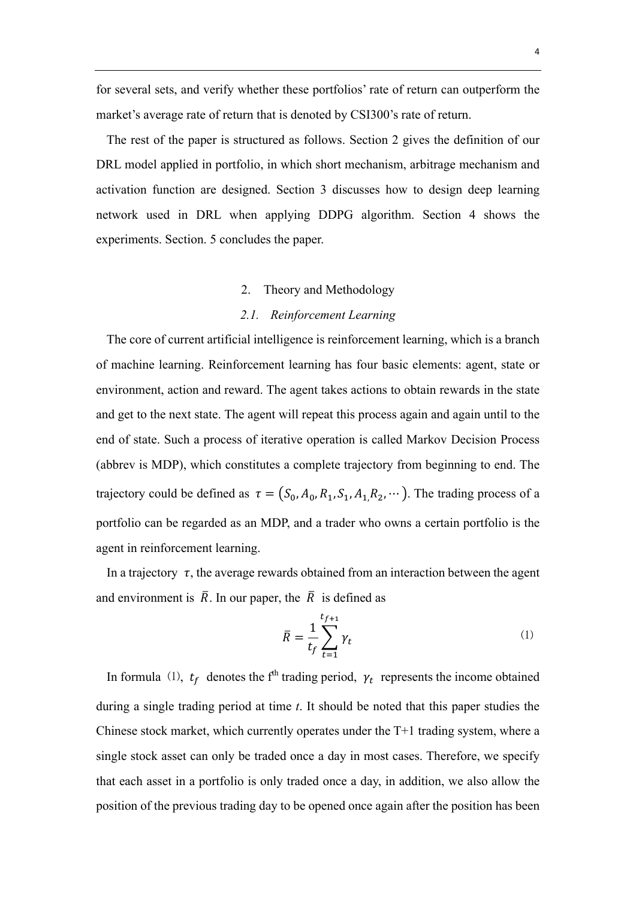for several sets, and verify whether these portfolios' rate of return can outperform the market's average rate of return that is denoted by CSI300's rate of return.

The rest of the paper is structured as follows. Section 2 gives the definition of our DRL model applied in portfolio, in which short mechanism, arbitrage mechanism and activation function are designed. Section 3 discusses how to design deep learning network used in DRL when applying DDPG algorithm. Section 4 shows the experiments. Section. 5 concludes the paper.

#### 2. Theory and Methodology

### *2.1. Reinforcement Learning*

The core of current artificial intelligence is reinforcement learning, which is a branch of machine learning. Reinforcement learning has four basic elements: agent, state or environment, action and reward. The agent takes actions to obtain rewards in the state and get to the next state. The agent will repeat this process again and again until to the end of state. Such a process of iterative operation is called Markov Decision Process (abbrev is MDP), which constitutes a complete trajectory from beginning to end. The trajectory could be defined as  $\tau = (S_0, A_0, R_1, S_1, A_1, R_2, \cdots)$ . The trading process of a portfolio can be regarded as an MDP, and a trader who owns a certain portfolio is the agent in reinforcement learning.

In a trajectory  $\tau$ , the average rewards obtained from an interaction between the agent and environment is  $\overline{R}$ . In our paper, the  $\overline{R}$  is defined as

$$
\bar{R} = \frac{1}{t_f} \sum_{t=1}^{t_{f+1}} \gamma_t \tag{1}
$$

In formula (1),  $t_f$  denotes the f<sup>th</sup> trading period,  $\gamma_t$  represents the income obtained during a single trading period at time *t*. It should be noted that this paper studies the Chinese stock market, which currently operates under the T+1 trading system, where a single stock asset can only be traded once a day in most cases. Therefore, we specify that each asset in a portfolio is only traded once a day, in addition, we also allow the position of the previous trading day to be opened once again after the position has been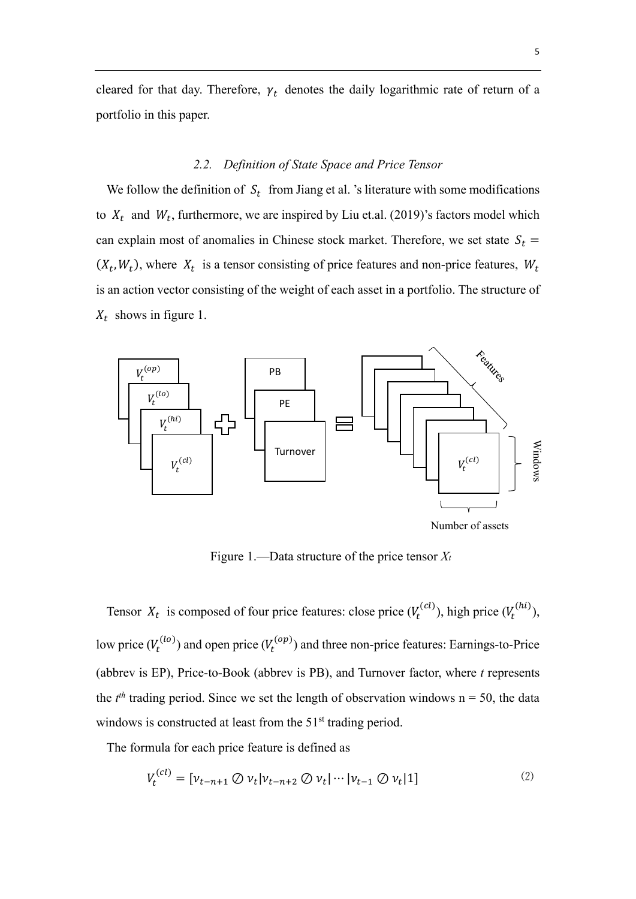cleared for that day. Therefore,  $\gamma_t$  denotes the daily logarithmic rate of return of a portfolio in this paper.

#### *2.2. Definition of State Space and Price Tensor*

We follow the definition of  $S_t$  from Jiang et al. 's literature with some modifications to  $X_t$  and  $W_t$ , furthermore, we are inspired by Liu et.al. (2019)'s factors model which can explain most of anomalies in Chinese stock market. Therefore, we set state  $S_t$  =  $(X_t, W_t)$ , where  $X_t$  is a tensor consisting of price features and non-price features,  $W_t$ is an action vector consisting of the weight of each asset in a portfolio. The structure of  $X_t$  shows in figure 1.



Figure 1.—Data structure of the price tensor *Xt*

Tensor  $X_t$  is composed of four price features: close price  $(V_t^{(c_l)})$ , high price  $(V_t^{(h_l)})$ , low price  $(V_t^{(lo)})$  and open price  $(V_t^{(op)})$  and three non-price features: Earnings-to-Price (abbrev is EP), Price-to-Book (abbrev is PB), and Turnover factor, where *t* represents the  $t^{th}$  trading period. Since we set the length of observation windows  $n = 50$ , the data windows is constructed at least from the  $51<sup>st</sup>$  trading period.

The formula for each price feature is defined as

$$
V_t^{(cl)} = \left[ \nu_{t-n+1} \oslash \nu_t | \nu_{t-n+2} \oslash \nu_t | \cdots | \nu_{t-1} \oslash \nu_t | 1 \right] \tag{2}
$$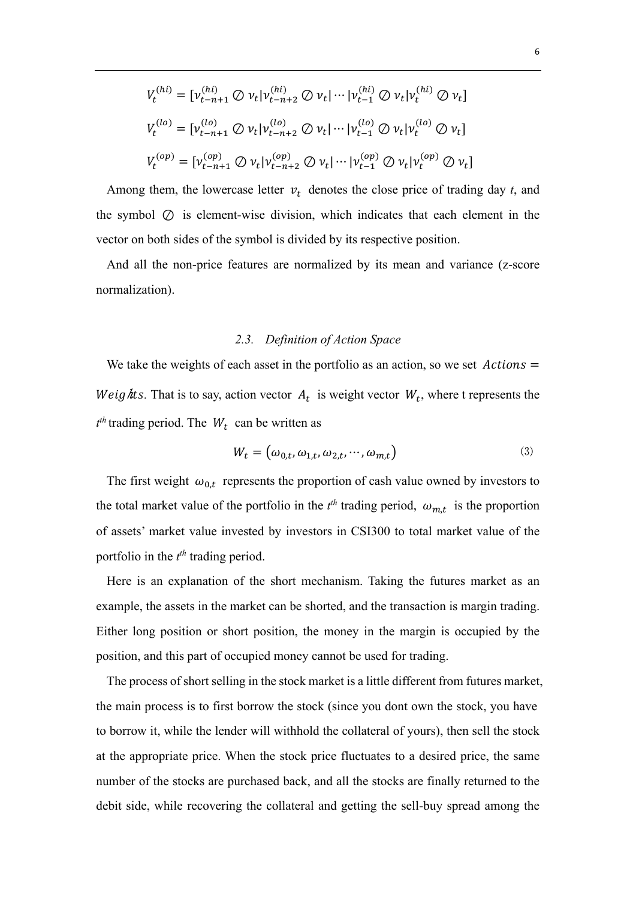$$
V_t^{(hi)} = [v_{t-n+1}^{(hi)} \oslash v_t | v_{t-n+2}^{(hi)} \oslash v_t | \cdots | v_{t-1}^{(hi)} \oslash v_t | v_t^{(hi)} \oslash v_t]
$$
  

$$
V_t^{(lo)} = [v_{t-n+1}^{(lo)} \oslash v_t | v_{t-n+2}^{(lo)} \oslash v_t | \cdots | v_{t-1}^{(lo)} \oslash v_t | v_t^{(lo)} \oslash v_t]
$$
  

$$
V_t^{(op)} = [v_{t-n+1}^{(op)} \oslash v_t | v_{t-n+2}^{(op)} \oslash v_t | \cdots | v_{t-1}^{(op)} \oslash v_t | v_t^{(op)} \oslash v_t]
$$

Among them, the lowercase letter  $v_t$  denotes the close price of trading day  $t$ , and the symbol ⊘ is element-wise division, which indicates that each element in the vector on both sides of the symbol is divided by its respective position.

And all the non-price features are normalized by its mean and variance (z-score normalization).

### *2.3. Definition of Action Space*

We take the weights of each asset in the portfolio as an action, so we set  $\text{Actions} =$ *Weights.* That is to say, action vector  $A_t$  is weight vector  $W_t$ , where t represents the  $t^{th}$  trading period. The  $W_t$  can be written as

$$
W_t = \left(\omega_{0,t}, \omega_{1,t}, \omega_{2,t}, \cdots, \omega_{m,t}\right) \tag{3}
$$

The first weight  $\omega_{0,t}$  represents the proportion of cash value owned by investors to the total market value of the portfolio in the  $t^{th}$  trading period,  $\omega_{m,t}$  is the proportion of assets' market value invested by investors in CSI300 to total market value of the portfolio in the *t th* trading period.

Here is an explanation of the short mechanism. Taking the futures market as an example, the assets in the market can be shorted, and the transaction is margin trading. Either long position or short position, the money in the margin is occupied by the position, and this part of occupied money cannot be used for trading.

The process of short selling in the stock market is a little different from futures market, the main process is to first borrow the stock (since you dont own the stock, you have to borrow it, while the lender will withhold the collateral of yours), then sell the stock at the appropriate price. When the stock price fluctuates to a desired price, the same number of the stocks are purchased back, and all the stocks are finally returned to the debit side, while recovering the collateral and getting the sell-buy spread among the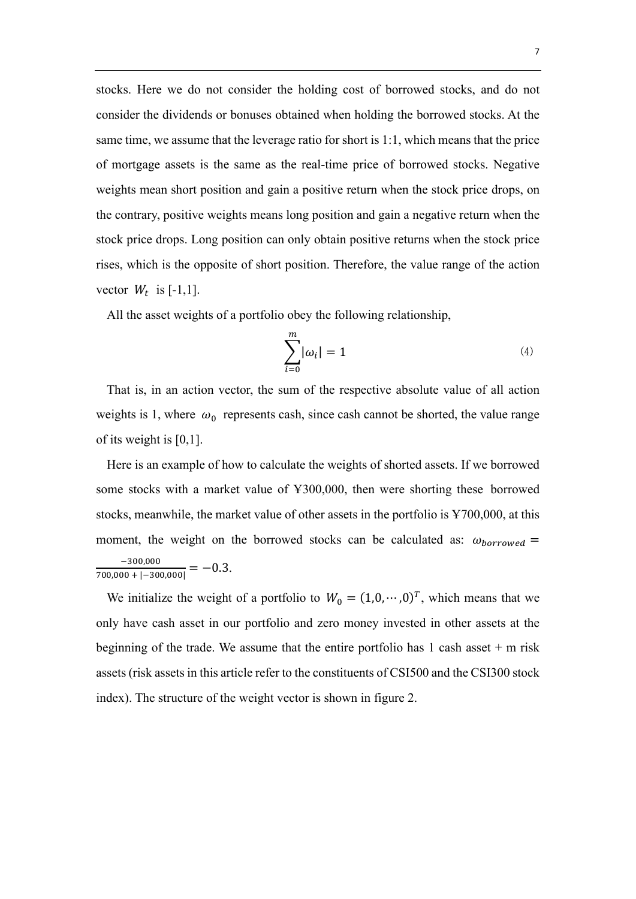stocks. Here we do not consider the holding cost of borrowed stocks, and do not consider the dividends or bonuses obtained when holding the borrowed stocks. At the same time, we assume that the leverage ratio for short is 1:1, which means that the price of mortgage assets is the same as the real-time price of borrowed stocks. Negative weights mean short position and gain a positive return when the stock price drops, on the contrary, positive weights means long position and gain a negative return when the stock price drops. Long position can only obtain positive returns when the stock price rises, which is the opposite of short position. Therefore, the value range of the action vector  $W_t$  is [-1,1].

All the asset weights of a portfolio obey the following relationship,

$$
\sum_{i=0}^{m} |\omega_i| = 1 \tag{4}
$$

That is, in an action vector, the sum of the respective absolute value of all action weights is 1, where  $\omega_0$  represents cash, since cash cannot be shorted, the value range of its weight is [0,1].

Here is an example of how to calculate the weights of shorted assets. If we borrowed some stocks with a market value of Ұ300,000, then were shorting these borrowed stocks, meanwhile, the market value of other assets in the portfolio is Ұ700,000, at this moment, the weight on the borrowed stocks can be calculated as:  $\omega_{borrowed}$  =  $\frac{-300,000}{700,000+|-300,000|} = -0.3.$ 

We initialize the weight of a portfolio to  $W_0 = (1,0,\dots,0)^T$ , which means that we only have cash asset in our portfolio and zero money invested in other assets at the beginning of the trade. We assume that the entire portfolio has  $1$  cash asset  $+$  m risk assets (risk assets in this article refer to the constituents of CSI500 and the CSI300 stock index). The structure of the weight vector is shown in figure 2.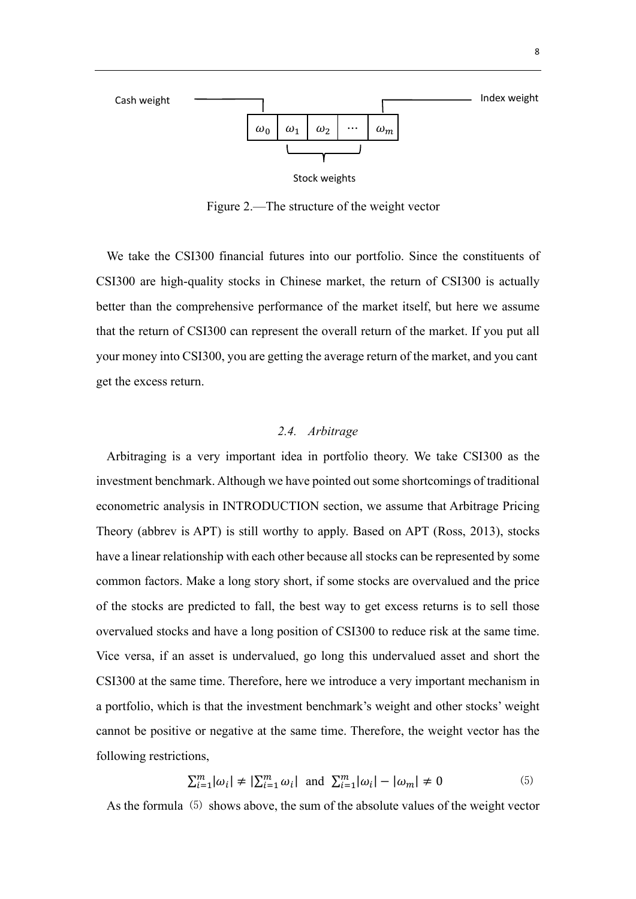

Stock weights

Figure 2.—The structure of the weight vector

We take the CSI300 financial futures into our portfolio. Since the constituents of CSI300 are high-quality stocks in Chinese market, the return of CSI300 is actually better than the comprehensive performance of the market itself, but here we assume that the return of CSI300 can represent the overall return of the market. If you put all your money into CSI300, you are getting the average return of the market, and you cant get the excess return.

#### *2.4. Arbitrage*

Arbitraging is a very important idea in portfolio theory. We take CSI300 as the investment benchmark. Although we have pointed out some shortcomings of traditional econometric analysis in INTRODUCTION section, we assume that Arbitrage Pricing Theory (abbrev is APT) is still worthy to apply. Based on APT (Ross, 2013), stocks have a linear relationship with each other because all stocks can be represented by some common factors. Make a long story short, if some stocks are overvalued and the price of the stocks are predicted to fall, the best way to get excess returns is to sell those overvalued stocks and have a long position of CSI300 to reduce risk at the same time. Vice versa, if an asset is undervalued, go long this undervalued asset and short the CSI300 at the same time. Therefore, here we introduce a very important mechanism in a portfolio, which is that the investment benchmark's weight and other stocks' weight cannot be positive or negative at the same time. Therefore, the weight vector has the following restrictions,

$$
\sum_{i=1}^{m} |\omega_i| \neq |\sum_{i=1}^{m} \omega_i| \text{ and } \sum_{i=1}^{m} |\omega_i| - |\omega_m| \neq 0 \tag{5}
$$

As the formula  $(5)$  shows above, the sum of the absolute values of the weight vector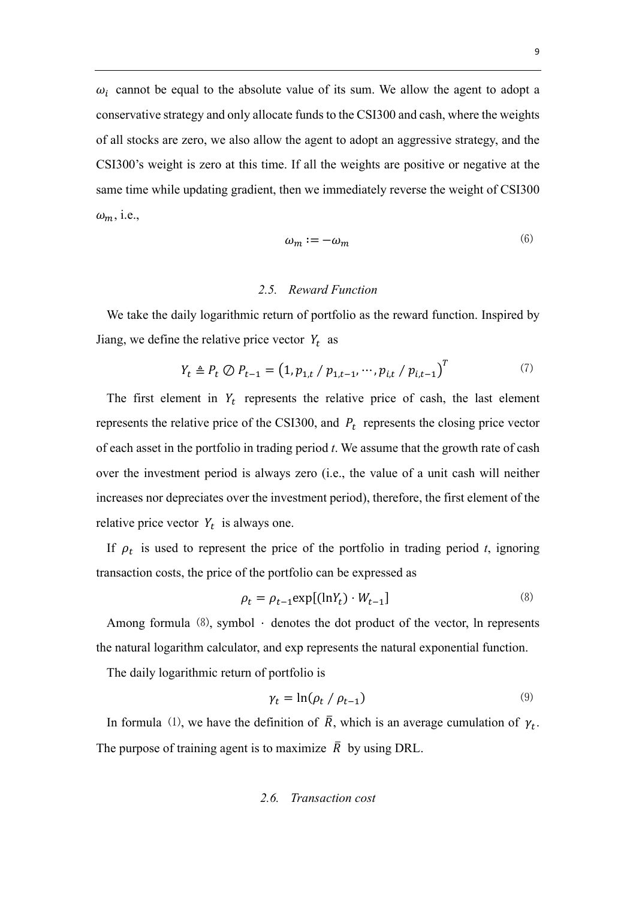$\omega_i$  cannot be equal to the absolute value of its sum. We allow the agent to adopt a conservative strategy and only allocate funds to the CSI300 and cash, where the weights of all stocks are zero, we also allow the agent to adopt an aggressive strategy, and the CSI300's weight is zero at this time. If all the weights are positive or negative at the same time while updating gradient, then we immediately reverse the weight of CSI300  $\omega_m$ , i.e.,

$$
\omega_m := -\omega_m \tag{6}
$$

#### *2.5. Reward Function*

We take the daily logarithmic return of portfolio as the reward function. Inspired by Jiang, we define the relative price vector  $Y_t$  as

$$
Y_t \triangleq P_t \oslash P_{t-1} = (1, p_{1,t} / p_{1,t-1}, \cdots, p_{i,t} / p_{i,t-1})^T
$$
\n(7)

The first element in  $Y_t$  represents the relative price of cash, the last element represents the relative price of the CSI300, and  $P_t$  represents the closing price vector of each asset in the portfolio in trading period *t*. We assume that the growth rate of cash over the investment period is always zero (i.e., the value of a unit cash will neither increases nor depreciates over the investment period), therefore, the first element of the relative price vector  $Y_t$  is always one.

If  $\rho_t$  is used to represent the price of the portfolio in trading period *t*, ignoring transaction costs, the price of the portfolio can be expressed as

$$
\rho_t = \rho_{t-1} \exp[(\ln Y_t) \cdot W_{t-1}] \tag{8}
$$

Among formula  $(8)$ , symbol  $\cdot$  denotes the dot product of the vector, ln represents the natural logarithm calculator, and exp represents the natural exponential function.

The daily logarithmic return of portfolio is

$$
\gamma_t = \ln(\rho_t / \rho_{t-1}) \tag{9}
$$

In formula (1), we have the definition of  $\overline{R}$ , which is an average cumulation of  $\gamma_t$ . The purpose of training agent is to maximize  $\overline{R}$  by using DRL.

### *2.6. Transaction cost*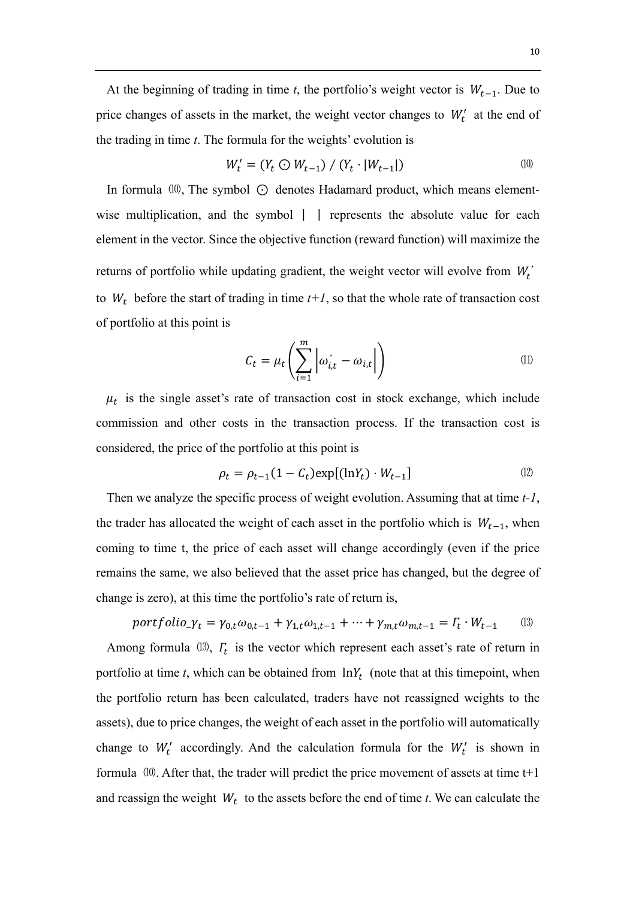At the beginning of trading in time *t*, the portfolio's weight vector is  $W_{t-1}$ . Due to price changes of assets in the market, the weight vector changes to  $W_t'$  at the end of the trading in time *t*. The formula for the weights' evolution is

$$
W'_{t} = (Y_{t} \odot W_{t-1}) / (Y_{t} \cdot |W_{t-1}|) \tag{10}
$$

In formula  $(10)$ , The symbol  $\odot$  denotes Hadamard product, which means elementwise multiplication, and the symbol | | represents the absolute value for each element in the vector. Since the objective function (reward function) will maximize the returns of portfolio while updating gradient, the weight vector will evolve from  $W_t^{\prime}$ to  $W_t$  before the start of trading in time  $t+1$ , so that the whole rate of transaction cost of portfolio at this point is

$$
C_t = \mu_t \left( \sum_{i=1}^m \left| \omega_{i,t} - \omega_{i,t} \right| \right) \tag{1}
$$

 $\mu_t$  is the single asset's rate of transaction cost in stock exchange, which include commission and other costs in the transaction process. If the transaction cost is considered, the price of the portfolio at this point is

$$
\rho_t = \rho_{t-1}(1 - C_t) \exp[(\ln Y_t) \cdot W_{t-1}] \tag{12}
$$

Then we analyze the specific process of weight evolution. Assuming that at time *t-1*, the trader has allocated the weight of each asset in the portfolio which is  $W_{t-1}$ , when coming to time t, the price of each asset will change accordingly (even if the price remains the same, we also believed that the asset price has changed, but the degree of change is zero), at this time the portfolio's rate of return is,

$$
portfolio_{t} = \gamma_{0,t} \omega_{0,t-1} + \gamma_{1,t} \omega_{1,t-1} + \dots + \gamma_{m,t} \omega_{m,t-1} = \Gamma_t \cdot W_{t-1}
$$
 (13)

Among formula  $(13)$ ,  $\Gamma_t$  is the vector which represent each asset's rate of return in portfolio at time  $t$ , which can be obtained from  $\ln Y_t$  (note that at this timepoint, when the portfolio return has been calculated, traders have not reassigned weights to the assets), due to price changes, the weight of each asset in the portfolio will automatically change to  $W_t'$  accordingly. And the calculation formula for the  $W_t'$  is shown in formula  $(10)$ . After that, the trader will predict the price movement of assets at time  $t+1$ and reassign the weight  $W_t$  to the assets before the end of time *t*. We can calculate the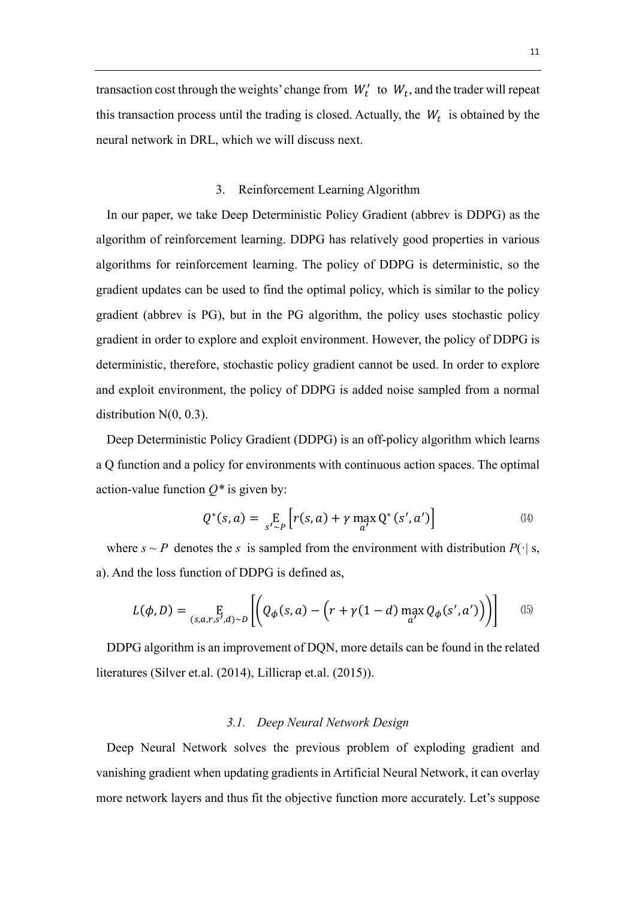transaction cost through the weights' change from  $W'_t$  to  $W_t$ , and the trader will repeat this transaction process until the trading is closed. Actually, the  $W_t$  is obtained by the neural network in DRL, which we will discuss next.

### 3. Reinforcement Learning Algorithm

In our paper, we take Deep Deterministic Policy Gradient (abbrev is DDPG) as the algorithm of reinforcement learning. DDPG has relatively good properties in various algorithms for reinforcement learning. The policy of DDPG is deterministic, so the gradient updates can be used to find the optimal policy, which is similar to the policy gradient (abbrev is PG), but in the PG algorithm, the policy uses stochastic policy gradient in order to explore and exploit environment. However, the policy of DDPG is deterministic, therefore, stochastic policy gradient cannot be used. In order to explore and exploit environment, the policy of DDPG is added noise sampled from a normal distribution N(0, 0.3).

Deep Deterministic Policy Gradient (DDPG) is an off-policy algorithm which learns a Q function and a policy for environments with continuous action spaces. The optimal action-value function  $Q^*$  is given by:

$$
Q^*(s, a) = \underset{s' \sim P}{\mathbb{E}} \left[ r(s, a) + \gamma \max_{a'} Q^*(s', a') \right] \tag{14}
$$

where  $s \sim P$  denotes the *s* is sampled from the environment with distribution  $P(\cdot | s,$ a). And the loss function of DDPG is defined as,

$$
L(\phi, D) = \underset{(s, a, r, s', d) \sim D}{\mathbb{E}} \left[ \left( Q_{\phi}(s, a) - \left( r + \gamma (1 - d) \max_{a'} Q_{\phi}(s', a') \right) \right) \right] \tag{15}
$$

DDPG algorithm is an improvement of DQN, more details can be found in the related literatures (Silver et.al. (2014), Lillicrap et.al. (2015)).

### *3.1. Deep Neural Network Design*

Deep Neural Network solves the previous problem of exploding gradient and vanishing gradient when updating gradients in Artificial Neural Network, it can overlay more network layers and thus fit the objective function more accurately. Let's suppose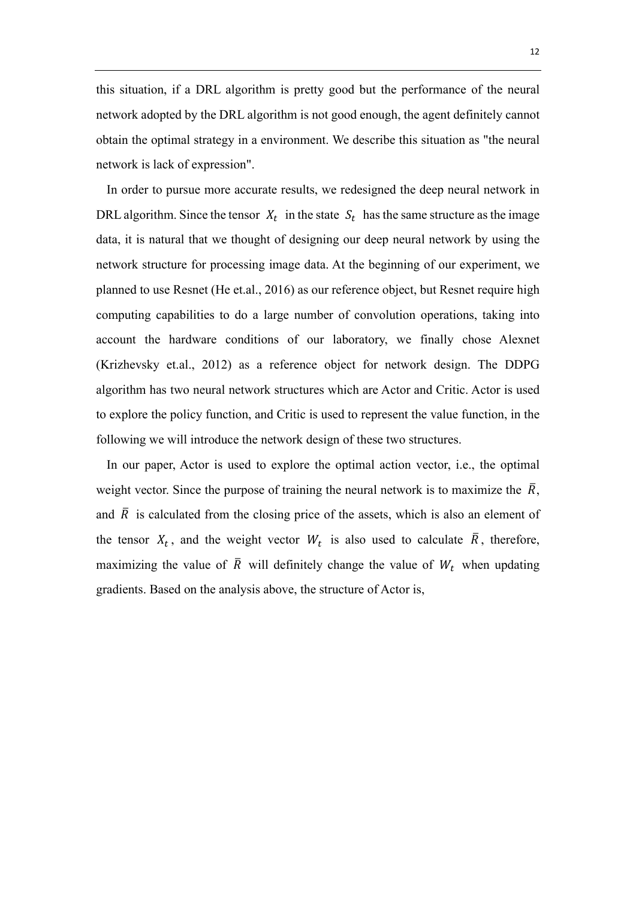this situation, if a DRL algorithm is pretty good but the performance of the neural network adopted by the DRL algorithm is not good enough, the agent definitely cannot obtain the optimal strategy in a environment. We describe this situation as "the neural network is lack of expression".

In order to pursue more accurate results, we redesigned the deep neural network in DRL algorithm. Since the tensor  $X_t$  in the state  $S_t$  has the same structure as the image data, it is natural that we thought of designing our deep neural network by using the network structure for processing image data. At the beginning of our experiment, we planned to use Resnet (He et.al., 2016) as our reference object, but Resnet require high computing capabilities to do a large number of convolution operations, taking into account the hardware conditions of our laboratory, we finally chose Alexnet (Krizhevsky et.al., 2012) as a reference object for network design. The DDPG algorithm has two neural network structures which are Actor and Critic. Actor is used to explore the policy function, and Critic is used to represent the value function, in the following we will introduce the network design of these two structures.

In our paper, Actor is used to explore the optimal action vector, i.e., the optimal weight vector. Since the purpose of training the neural network is to maximize the  $\overline{R}$ , and  $\overline{R}$  is calculated from the closing price of the assets, which is also an element of the tensor  $X_t$ , and the weight vector  $W_t$  is also used to calculate  $\overline{R}$ , therefore, maximizing the value of  $\overline{R}$  will definitely change the value of  $W_t$  when updating gradients. Based on the analysis above, the structure of Actor is,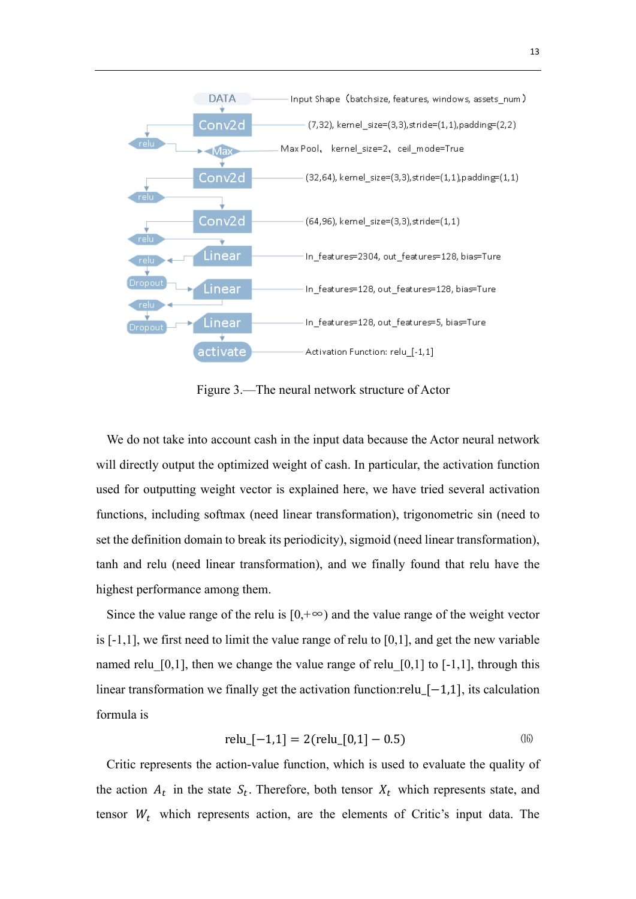

Figure 3.—The neural network structure of Actor

We do not take into account cash in the input data because the Actor neural network will directly output the optimized weight of cash. In particular, the activation function used for outputting weight vector is explained here, we have tried several activation functions, including softmax (need linear transformation), trigonometric sin (need to set the definition domain to break its periodicity), sigmoid (need linear transformation), tanh and relu (need linear transformation), and we finally found that relu have the highest performance among them.

Since the value range of the relu is  $[0, +\infty)$  and the value range of the weight vector is [-1,1], we first need to limit the value range of relu to [0,1], and get the new variable named relu  $[0,1]$ , then we change the value range of relu  $[0,1]$  to  $[-1,1]$ , through this linear transformation we finally get the activation function:relu\_[−1,1], its calculation formula is

$$
relu[-1,1] = 2(\text{relu}[0,1] - 0.5) \tag{16}
$$

Critic represents the action-value function, which is used to evaluate the quality of the action  $A_t$  in the state  $S_t$ . Therefore, both tensor  $X_t$  which represents state, and tensor  $W_t$  which represents action, are the elements of Critic's input data. The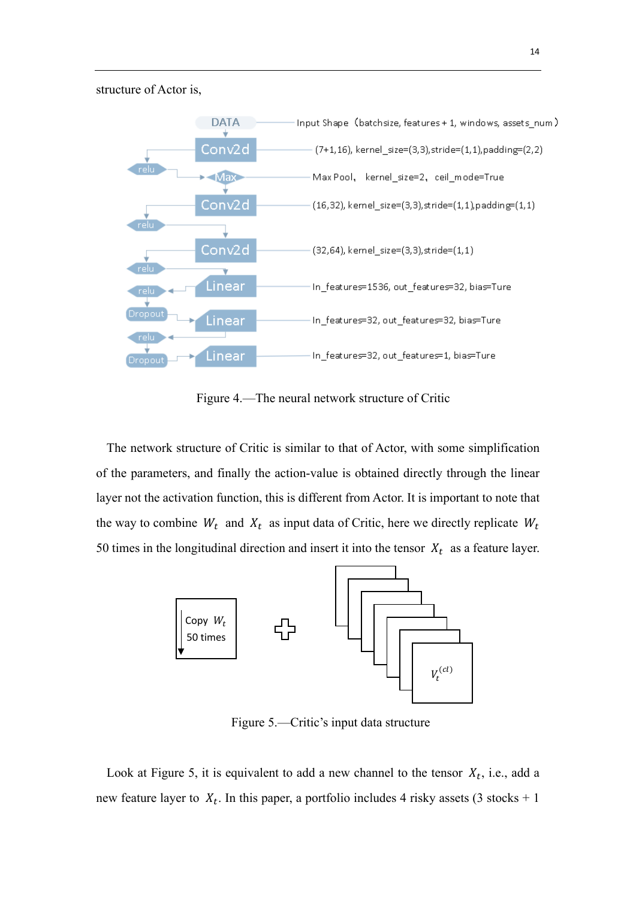structure of Actor is,



Figure 4.—The neural network structure of Critic

The network structure of Critic is similar to that of Actor, with some simplification of the parameters, and finally the action-value is obtained directly through the linear layer not the activation function, this is different from Actor. It is important to note that the way to combine  $W_t$  and  $X_t$  as input data of Critic, here we directly replicate  $W_t$ 50 times in the longitudinal direction and insert it into the tensor  $X_t$  as a feature layer.



Figure 5.—Critic's input data structure

Look at Figure 5, it is equivalent to add a new channel to the tensor  $X_t$ , i.e., add a new feature layer to  $X_t$ . In this paper, a portfolio includes 4 risky assets (3 stocks + 1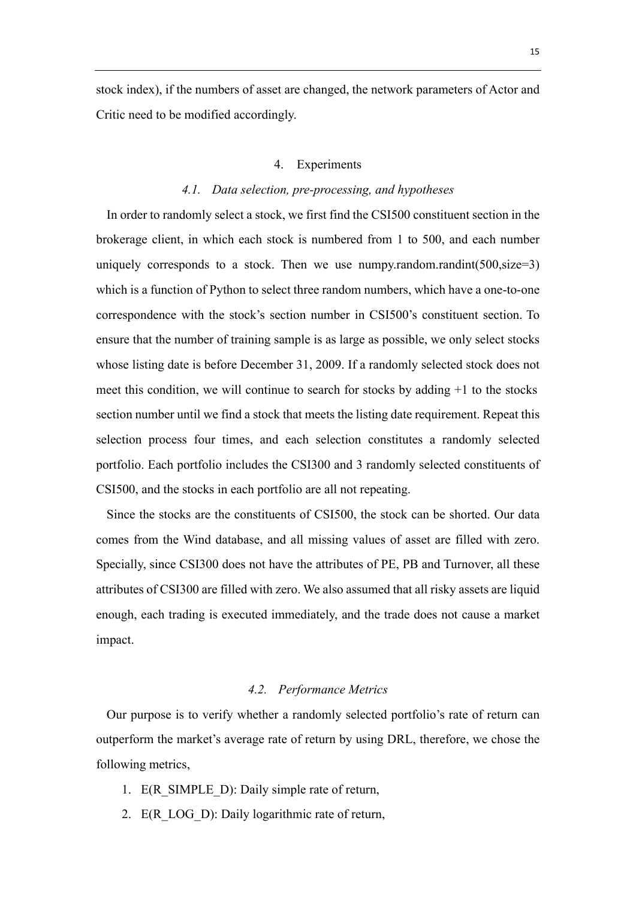stock index), if the numbers of asset are changed, the network parameters of Actor and Critic need to be modified accordingly.

#### 4. Experiments

### *4.1. Data selection, pre-processing, and hypotheses*

In order to randomly select a stock, we first find the CSI500 constituent section in the brokerage client, in which each stock is numbered from 1 to 500, and each number uniquely corresponds to a stock. Then we use numpy.random.randint( $500$ , size=3) which is a function of Python to select three random numbers, which have a one-to-one correspondence with the stock's section number in CSI500's constituent section. To ensure that the number of training sample is as large as possible, we only select stocks whose listing date is before December 31, 2009. If a randomly selected stock does not meet this condition, we will continue to search for stocks by adding +1 to the stocks section number until we find a stock that meets the listing date requirement. Repeat this selection process four times, and each selection constitutes a randomly selected portfolio. Each portfolio includes the CSI300 and 3 randomly selected constituents of CSI500, and the stocks in each portfolio are all not repeating.

Since the stocks are the constituents of CSI500, the stock can be shorted. Our data comes from the Wind database, and all missing values of asset are filled with zero. Specially, since CSI300 does not have the attributes of PE, PB and Turnover, all these attributes of CSI300 are filled with zero. We also assumed that all risky assets are liquid enough, each trading is executed immediately, and the trade does not cause a market impact.

#### *4.2. Performance Metrics*

Our purpose is to verify whether a randomly selected portfolio's rate of return can outperform the market's average rate of return by using DRL, therefore, we chose the following metrics,

- 1. E(R\_SIMPLE\_D): Daily simple rate of return,
- 2. E(R LOG D): Daily logarithmic rate of return,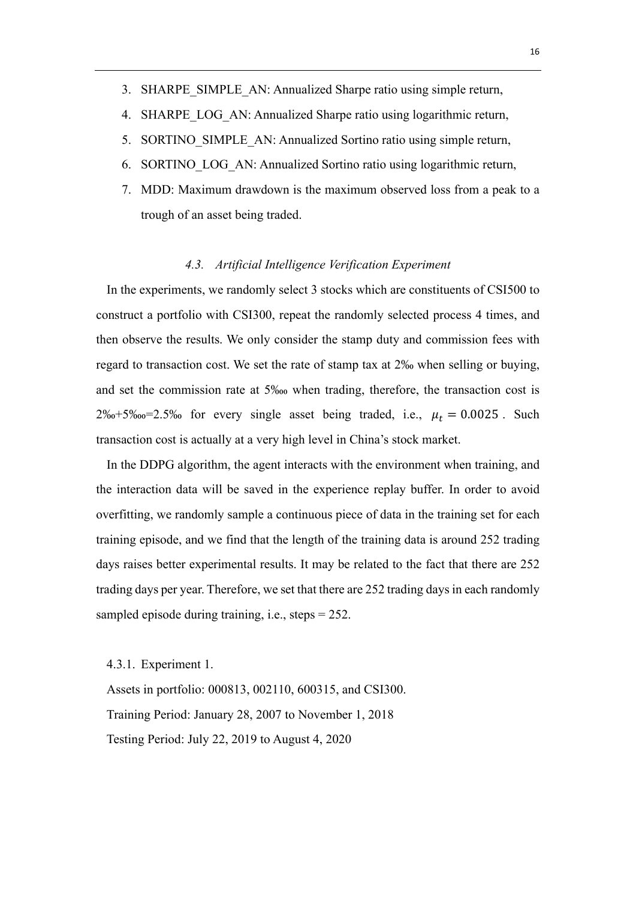- 3. SHARPE\_SIMPLE\_AN: Annualized Sharpe ratio using simple return,
- 4. SHARPE LOG AN: Annualized Sharpe ratio using logarithmic return,
- 5. SORTINO\_SIMPLE\_AN: Annualized Sortino ratio using simple return,
- 6. SORTINO\_LOG\_AN: Annualized Sortino ratio using logarithmic return,
- 7. MDD: Maximum drawdown is the maximum observed loss from a peak to a trough of an asset being traded.

### *4.3. Artificial Intelligence Verification Experiment*

In the experiments, we randomly select 3 stocks which are constituents of CSI500 to construct a portfolio with CSI300, repeat the randomly selected process 4 times, and then observe the results. We only consider the stamp duty and commission fees with regard to transaction cost. We set the rate of stamp tax at 2‰ when selling or buying, and set the commission rate at 5‱ when trading, therefore, the transaction cost is  $2\%$ -5‱=2.5‰ for every single asset being traded, i.e.,  $\mu_t = 0.0025$ . Such transaction cost is actually at a very high level in China's stock market.

In the DDPG algorithm, the agent interacts with the environment when training, and the interaction data will be saved in the experience replay buffer. In order to avoid overfitting, we randomly sample a continuous piece of data in the training set for each training episode, and we find that the length of the training data is around 252 trading days raises better experimental results. It may be related to the fact that there are 252 trading days per year. Therefore, we set that there are 252 trading days in each randomly sampled episode during training, i.e., steps = 252.

4.3.1. Experiment 1.

Assets in portfolio: 000813, 002110, 600315, and CSI300. Training Period: January 28, 2007 to November 1, 2018 Testing Period: July 22, 2019 to August 4, 2020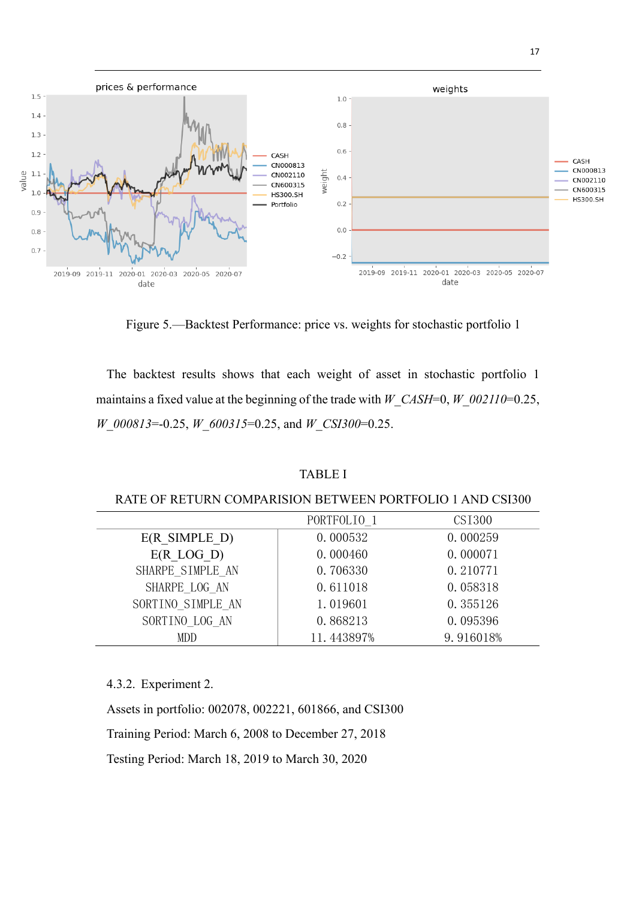

Figure 5.—Backtest Performance: price vs. weights for stochastic portfolio 1

The backtest results shows that each weight of asset in stochastic portfolio 1 maintains a fixed value at the beginning of the trade with *W\_CASH*=0, *W\_002110*=0.25, *W\_000813*=-0.25, *W\_600315*=0.25, and *W\_CSI300*=0.25.

# TABLE Ι

### RATE OF RETURN COMPARISION BETWEEN PORTFOLIO 1 AND CSI300

|                          | PORTFOLIO <sub>1</sub> | CSI300    |
|--------------------------|------------------------|-----------|
| $E(R \text{ SIMPLE } D)$ | 0.000532               | 0.000259  |
| $E(R$ LOG D)             | 0.000460               | 0.000071  |
| SHARPE SIMPLE AN         | 0.706330               | 0.210771  |
| SHARPE LOG AN            | 0.611018               | 0.058318  |
| SORTINO SIMPLE AN        | 1.019601               | 0.355126  |
| SORTINO LOG AN           | 0.868213               | 0.095396  |
| MDD                      | 11.443897%             | 9.916018% |

4.3.2. Experiment 2.

Assets in portfolio: 002078, 002221, 601866, and CSI300

Training Period: March 6, 2008 to December 27, 2018

Testing Period: March 18, 2019 to March 30, 2020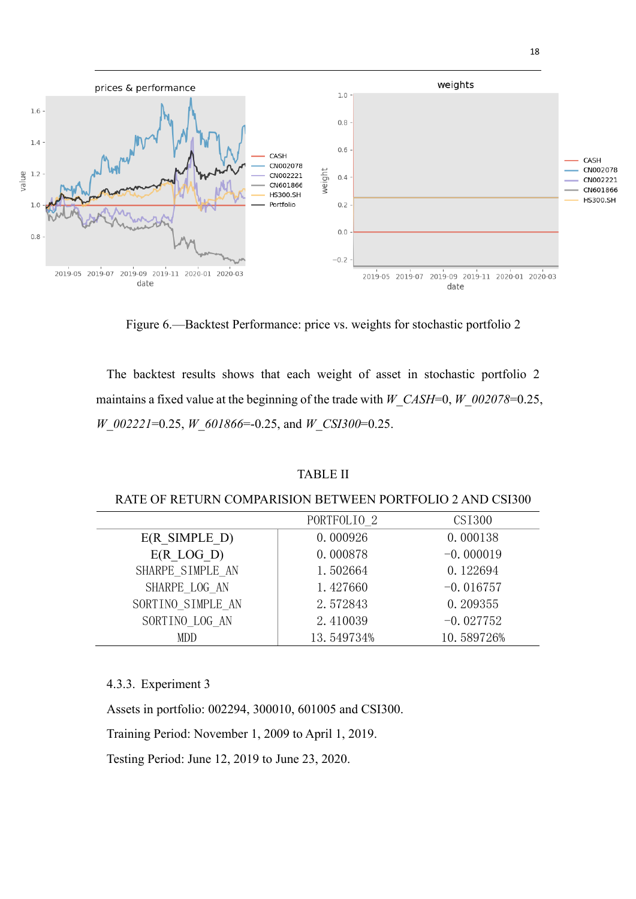

Figure 6.—Backtest Performance: price vs. weights for stochastic portfolio 2

The backtest results shows that each weight of asset in stochastic portfolio 2 maintains a fixed value at the beginning of the trade with *W\_CASH*=0, *W\_002078*=0.25, *W\_002221*=0.25, *W\_601866*=-0.25, and *W\_CSI300*=0.25.

# TABLE ΙΙ

### RATE OF RETURN COMPARISION BETWEEN PORTFOLIO 2 AND CSI300

|                          | PORTFOLIO <sub>2</sub> | CSI300      |
|--------------------------|------------------------|-------------|
| $E(R \text{ SIMPLE } D)$ | 0.000926               | 0.000138    |
| $E(R$ LOG D)             | 0.000878               | $-0.000019$ |
| SHARPE SIMPLE AN         | 1.502664               | 0.122694    |
| SHARPE LOG AN            | 1.427660               | $-0.016757$ |
| SORTINO SIMPLE AN        | 2.572843               | 0.209355    |
| SORTINO LOG AN           | 2.410039               | $-0.027752$ |
| MDD                      | 13.549734%             | 10.589726%  |

# 4.3.3. Experiment 3

Assets in portfolio: 002294, 300010, 601005 and CSI300.

Training Period: November 1, 2009 to April 1, 2019.

Testing Period: June 12, 2019 to June 23, 2020.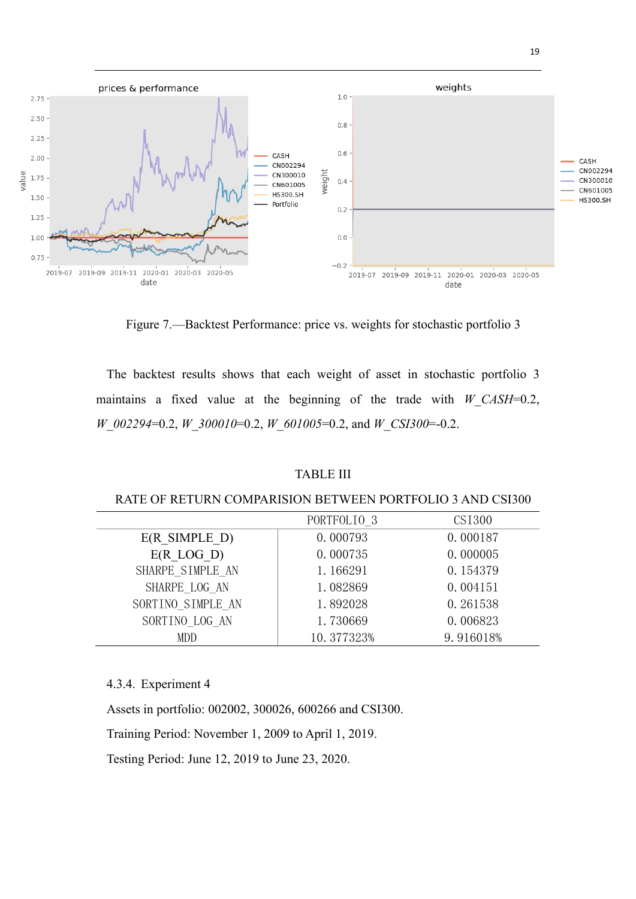

Figure 7.—Backtest Performance: price vs. weights for stochastic portfolio 3

The backtest results shows that each weight of asset in stochastic portfolio 3 maintains a fixed value at the beginning of the trade with *W\_CASH*=0.2, *W\_002294*=0.2, *W\_300010*=0.2, *W\_601005*=0.2, and *W\_CSI300*=-0.2.

# TABLE ΙΙΙ

### RATE OF RETURN COMPARISION BETWEEN PORTFOLIO 3 AND CSI300

|                          | PORTFOLIO <sub>3</sub> | CSI300    |
|--------------------------|------------------------|-----------|
| $E(R \text{ SIMPLE } D)$ | 0.000793               | 0.000187  |
| $E(R$ LOG D)             | 0.000735               | 0.000005  |
| SHARPE SIMPLE AN         | 1.166291               | 0.154379  |
| SHARPE LOG AN            | 1.082869               | 0.004151  |
| SORTINO SIMPLE AN        | 1.892028               | 0.261538  |
| SORTINO LOG AN           | 1.730669               | 0.006823  |
| MDD                      | 10.377323%             | 9.916018% |

# 4.3.4. Experiment 4

Assets in portfolio: 002002, 300026, 600266 and CSI300.

Training Period: November 1, 2009 to April 1, 2019.

Testing Period: June 12, 2019 to June 23, 2020.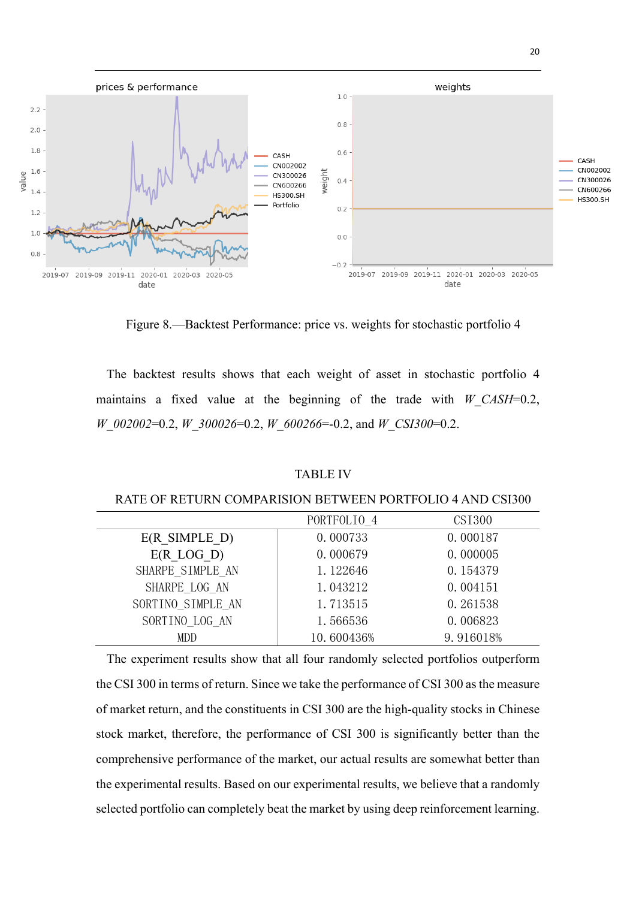

Figure 8.—Backtest Performance: price vs. weights for stochastic portfolio 4

The backtest results shows that each weight of asset in stochastic portfolio 4 maintains a fixed value at the beginning of the trade with *W\_CASH*=0.2, *W\_002002*=0.2, *W\_300026*=0.2, *W\_600266*=-0.2, and *W\_CSI300*=0.2.

# TABLE ΙV

#### RATE OF RETURN COMPARISION BETWEEN PORTFOLIO 4 AND CSI300

|                          | PORTFOLIO 4 | CSI300    |
|--------------------------|-------------|-----------|
| $E(R \text{ SIMPLE } D)$ | 0.000733    | 0.000187  |
| $E(R$ LOG D)             | 0.000679    | 0.000005  |
| SHARPE SIMPLE AN         | 1.122646    | 0.154379  |
| SHARPE LOG AN            | 1.043212    | 0.004151  |
| SORTINO SIMPLE AN        | 1.713515    | 0.261538  |
| SORTINO LOG AN           | 1.566536    | 0.006823  |
| MDD                      | 10.600436%  | 9.916018% |

The experiment results show that all four randomly selected portfolios outperform the CSI 300 in terms of return. Since we take the performance of CSI 300 as the measure of market return, and the constituents in CSI 300 are the high-quality stocks in Chinese stock market, therefore, the performance of CSI 300 is significantly better than the comprehensive performance of the market, our actual results are somewhat better than the experimental results. Based on our experimental results, we believe that a randomly selected portfolio can completely beat the market by using deep reinforcement learning.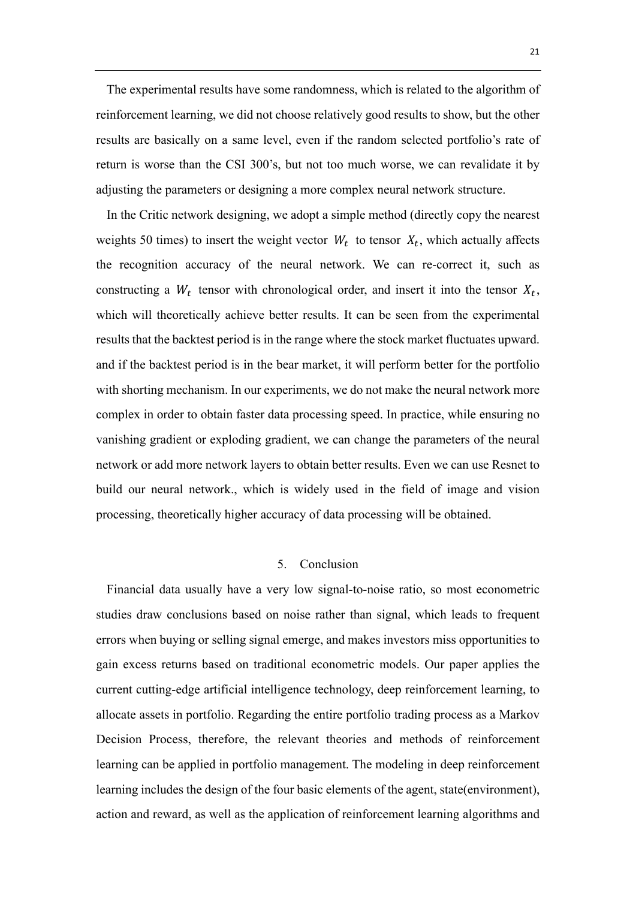The experimental results have some randomness, which is related to the algorithm of reinforcement learning, we did not choose relatively good results to show, but the other results are basically on a same level, even if the random selected portfolio's rate of return is worse than the CSI 300's, but not too much worse, we can revalidate it by adjusting the parameters or designing a more complex neural network structure.

In the Critic network designing, we adopt a simple method (directly copy the nearest weights 50 times) to insert the weight vector  $W_t$  to tensor  $X_t$ , which actually affects the recognition accuracy of the neural network. We can re-correct it, such as constructing a  $W_t$  tensor with chronological order, and insert it into the tensor  $X_t$ , which will theoretically achieve better results. It can be seen from the experimental results that the backtest period is in the range where the stock market fluctuates upward. and if the backtest period is in the bear market, it will perform better for the portfolio with shorting mechanism. In our experiments, we do not make the neural network more complex in order to obtain faster data processing speed. In practice, while ensuring no vanishing gradient or exploding gradient, we can change the parameters of the neural network or add more network layers to obtain better results. Even we can use Resnet to build our neural network., which is widely used in the field of image and vision processing, theoretically higher accuracy of data processing will be obtained.

# 5. Conclusion

Financial data usually have a very low signal-to-noise ratio, so most econometric studies draw conclusions based on noise rather than signal, which leads to frequent errors when buying or selling signal emerge, and makes investors miss opportunities to gain excess returns based on traditional econometric models. Our paper applies the current cutting-edge artificial intelligence technology, deep reinforcement learning, to allocate assets in portfolio. Regarding the entire portfolio trading process as a Markov Decision Process, therefore, the relevant theories and methods of reinforcement learning can be applied in portfolio management. The modeling in deep reinforcement learning includes the design of the four basic elements of the agent, state(environment), action and reward, as well as the application of reinforcement learning algorithms and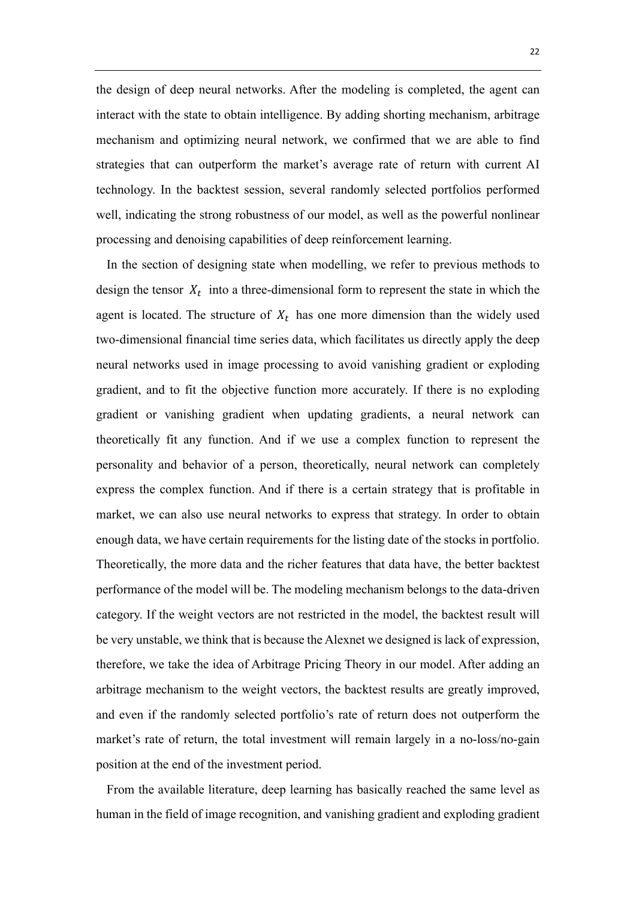the design of deep neural networks. After the modeling is completed, the agent can interact with the state to obtain intelligence. By adding shorting mechanism, arbitrage mechanism and optimizing neural network, we confirmed that we are able to find strategies that can outperform the market's average rate of return with current AI technology. In the backtest session, several randomly selected portfolios performed well, indicating the strong robustness of our model, as well as the powerful nonlinear processing and denoising capabilities of deep reinforcement learning.

In the section of designing state when modelling, we refer to previous methods to design the tensor  $X_t$  into a three-dimensional form to represent the state in which the agent is located. The structure of  $X_t$  has one more dimension than the widely used two-dimensional financial time series data, which facilitates us directly apply the deep neural networks used in image processing to avoid vanishing gradient or exploding gradient, and to fit the objective function more accurately. If there is no exploding gradient or vanishing gradient when updating gradients, a neural network can theoretically fit any function. And if we use a complex function to represent the personality and behavior of a person, theoretically, neural network can completely express the complex function. And if there is a certain strategy that is profitable in market, we can also use neural networks to express that strategy. In order to obtain enough data, we have certain requirements for the listing date of the stocks in portfolio. Theoretically, the more data and the richer features that data have, the better backtest performance of the model will be. The modeling mechanism belongs to the data-driven category. If the weight vectors are not restricted in the model, the backtest result will be very unstable, we think that is because the Alexnet we designed is lack of expression, therefore, we take the idea of Arbitrage Pricing Theory in our model. After adding an arbitrage mechanism to the weight vectors, the backtest results are greatly improved, and even if the randomly selected portfolio's rate of return does not outperform the market's rate of return, the total investment will remain largely in a no-loss/no-gain position at the end of the investment period.

From the available literature, deep learning has basically reached the same level as human in the field of image recognition, and vanishing gradient and exploding gradient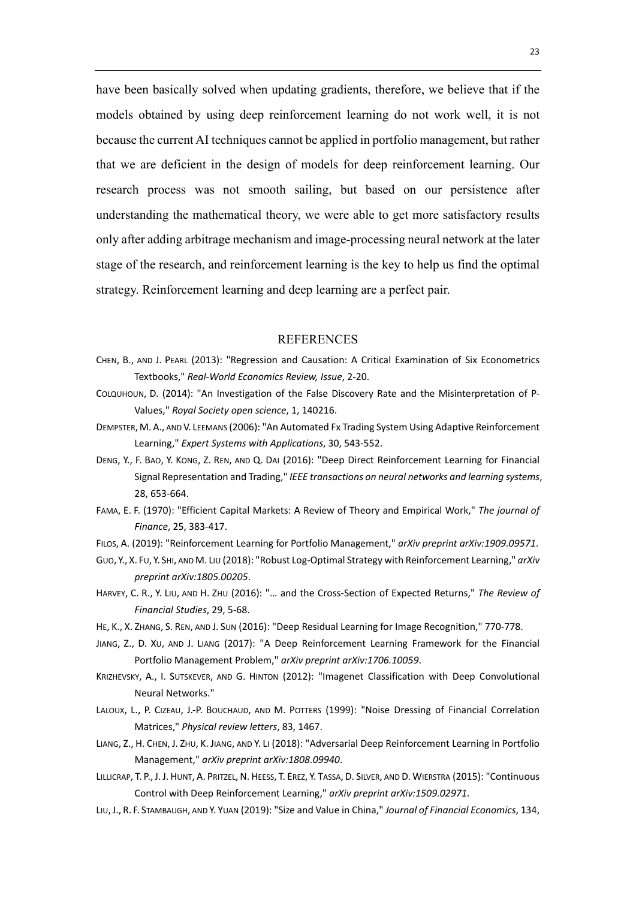have been basically solved when updating gradients, therefore, we believe that if the models obtained by using deep reinforcement learning do not work well, it is not because the current AI techniques cannot be applied in portfolio management, but rather that we are deficient in the design of models for deep reinforcement learning. Our research process was not smooth sailing, but based on our persistence after understanding the mathematical theory, we were able to get more satisfactory results only after adding arbitrage mechanism and image-processing neural network at the later stage of the research, and reinforcement learning is the key to help us find the optimal strategy. Reinforcement learning and deep learning are a perfect pair.

#### REFERENCES

- CHEN, B., AND J. PEARL (2013): "Regression and Causation: A Critical Examination of Six Econometrics Textbooks," *Real-World Economics Review, Issue*, 2-20.
- COLQUHOUN, D. (2014): "An Investigation of the False Discovery Rate and the Misinterpretation of P-Values," *Royal Society open science*, 1, 140216.
- DEMPSTER, M.A., AND V. LEEMANS (2006): "An Automated Fx Trading System Using Adaptive Reinforcement Learning," *Expert Systems with Applications*, 30, 543-552.
- DENG, Y., F. BAO, Y. KONG, Z. REN, AND Q. DAI (2016): "Deep Direct Reinforcement Learning for Financial Signal Representation and Trading," *IEEE transactions on neural networks and learning systems*, 28, 653-664.
- FAMA, E. F. (1970): "Efficient Capital Markets: A Review of Theory and Empirical Work," *The journal of Finance*, 25, 383-417.
- FILOS, A. (2019): "Reinforcement Learning for Portfolio Management," *arXiv preprint arXiv:1909.09571*.
- GUO, Y., X. FU, Y. SHI, AND M. LIU (2018): "Robust Log-Optimal Strategy with Reinforcement Learning," *arXiv preprint arXiv:1805.00205*.
- HARVEY, C. R., Y. LIU, AND H. ZHU (2016): "… and the Cross-Section of Expected Returns," *The Review of Financial Studies*, 29, 5-68.
- HE, K., X. ZHANG, S. REN, AND J. SUN (2016): "Deep Residual Learning for Image Recognition," 770-778.
- JIANG, Z., D. XU, AND J. LIANG (2017): "A Deep Reinforcement Learning Framework for the Financial Portfolio Management Problem," *arXiv preprint arXiv:1706.10059*.
- KRIZHEVSKY, A., I. SUTSKEVER, AND G. HINTON (2012): "Imagenet Classification with Deep Convolutional Neural Networks."
- LALOUX, L., P. CIZEAU, J.-P. BOUCHAUD, AND M. POTTERS (1999): "Noise Dressing of Financial Correlation Matrices," *Physical review letters*, 83, 1467.
- LIANG, Z., H. CHEN, J. ZHU, K. JIANG, AND Y. LI (2018): "Adversarial Deep Reinforcement Learning in Portfolio Management," *arXiv preprint arXiv:1808.09940*.
- LILLICRAP, T. P., J. J. HUNT, A. PRITZEL, N. HEESS, T. EREZ, Y. TASSA, D. SILVER, AND D. WIERSTRA (2015): "Continuous Control with Deep Reinforcement Learning," *arXiv preprint arXiv:1509.02971*.
- LIU,J., R. F. STAMBAUGH, AND Y. YUAN (2019): "Size and Value in China," *Journal of Financial Economics*, 134,